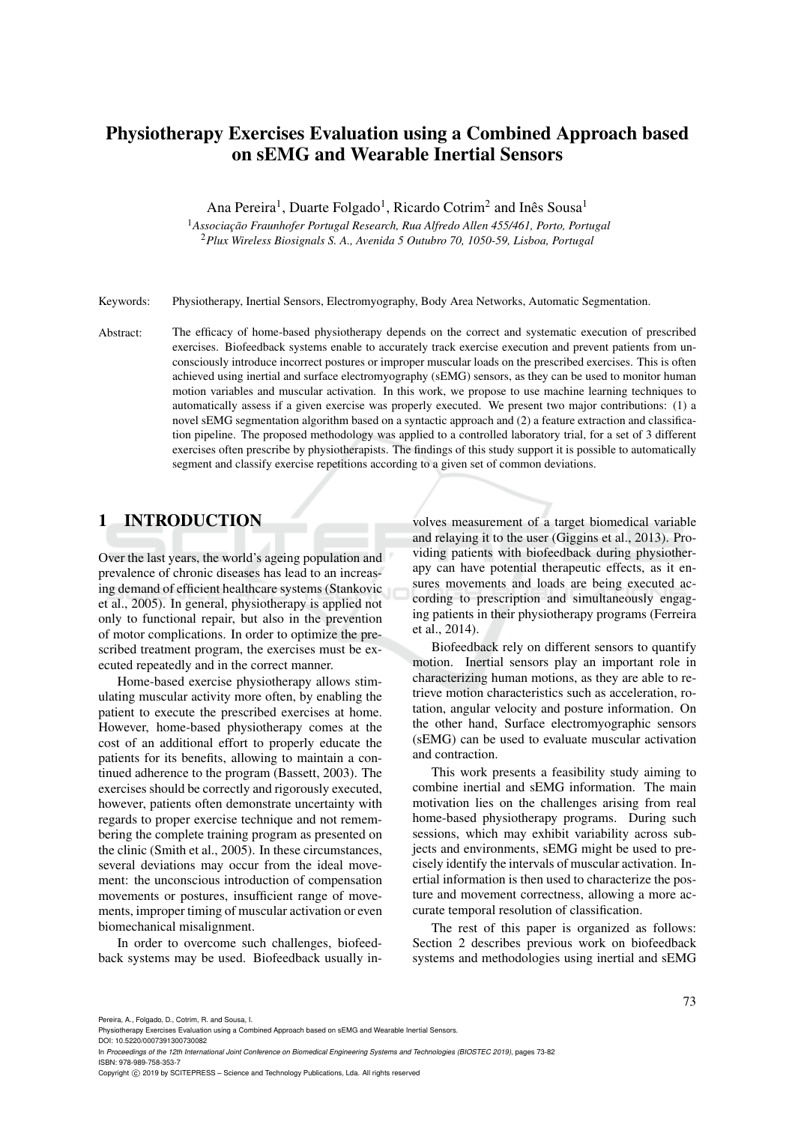# Physiotherapy Exercises Evaluation using a Combined Approach based on sEMG and Wearable Inertial Sensors

Ana Pereira<sup>1</sup>, Duarte Folgado<sup>1</sup>, Ricardo Cotrim<sup>2</sup> and Inês Sousa<sup>1</sup>

<sup>1</sup> Associação Fraunhofer Portugal Research, Rua Alfredo Allen 455/461, Porto, Portugal <sup>2</sup>*Plux Wireless Biosignals S. A., Avenida 5 Outubro 70, 1050-59, Lisboa, Portugal*

Keywords: Physiotherapy, Inertial Sensors, Electromyography, Body Area Networks, Automatic Segmentation.

Abstract: The efficacy of home-based physiotherapy depends on the correct and systematic execution of prescribed exercises. Biofeedback systems enable to accurately track exercise execution and prevent patients from unconsciously introduce incorrect postures or improper muscular loads on the prescribed exercises. This is often achieved using inertial and surface electromyography (sEMG) sensors, as they can be used to monitor human motion variables and muscular activation. In this work, we propose to use machine learning techniques to automatically assess if a given exercise was properly executed. We present two major contributions: (1) a novel sEMG segmentation algorithm based on a syntactic approach and (2) a feature extraction and classification pipeline. The proposed methodology was applied to a controlled laboratory trial, for a set of 3 different exercises often prescribe by physiotherapists. The findings of this study support it is possible to automatically segment and classify exercise repetitions according to a given set of common deviations.

## 1 INTRODUCTION

Over the last years, the world's ageing population and prevalence of chronic diseases has lead to an increasing demand of efficient healthcare systems (Stankovic et al., 2005). In general, physiotherapy is applied not only to functional repair, but also in the prevention of motor complications. In order to optimize the prescribed treatment program, the exercises must be executed repeatedly and in the correct manner.

Home-based exercise physiotherapy allows stimulating muscular activity more often, by enabling the patient to execute the prescribed exercises at home. However, home-based physiotherapy comes at the cost of an additional effort to properly educate the patients for its benefits, allowing to maintain a continued adherence to the program (Bassett, 2003). The exercises should be correctly and rigorously executed, however, patients often demonstrate uncertainty with regards to proper exercise technique and not remembering the complete training program as presented on the clinic (Smith et al., 2005). In these circumstances, several deviations may occur from the ideal movement: the unconscious introduction of compensation movements or postures, insufficient range of movements, improper timing of muscular activation or even biomechanical misalignment.

In order to overcome such challenges, biofeedback systems may be used. Biofeedback usually in-

volves measurement of a target biomedical variable and relaying it to the user (Giggins et al., 2013). Providing patients with biofeedback during physiotherapy can have potential therapeutic effects, as it ensures movements and loads are being executed according to prescription and simultaneously engaging patients in their physiotherapy programs (Ferreira et al., 2014).

Biofeedback rely on different sensors to quantify motion. Inertial sensors play an important role in characterizing human motions, as they are able to retrieve motion characteristics such as acceleration, rotation, angular velocity and posture information. On the other hand, Surface electromyographic sensors (sEMG) can be used to evaluate muscular activation and contraction.

This work presents a feasibility study aiming to combine inertial and sEMG information. The main motivation lies on the challenges arising from real home-based physiotherapy programs. During such sessions, which may exhibit variability across subjects and environments, sEMG might be used to precisely identify the intervals of muscular activation. Inertial information is then used to characterize the posture and movement correctness, allowing a more accurate temporal resolution of classification.

The rest of this paper is organized as follows: Section 2 describes previous work on biofeedback systems and methodologies using inertial and sEMG

DOI: 10.5220/0007391300730082 In *Proceedings of the 12th International Joint Conference on Biomedical Engineering Systems and Technologies (BIOSTEC 2019)*, pages 73-82 ISBN: 978-989-758-353-7

Copyright © 2019 by SCITEPRESS - Science and Technology Publications, Lda. All rights reserved

Physiotherapy Exercises Evaluation using a Combined Approach based on sEMG and Wearable Inertial Sensors.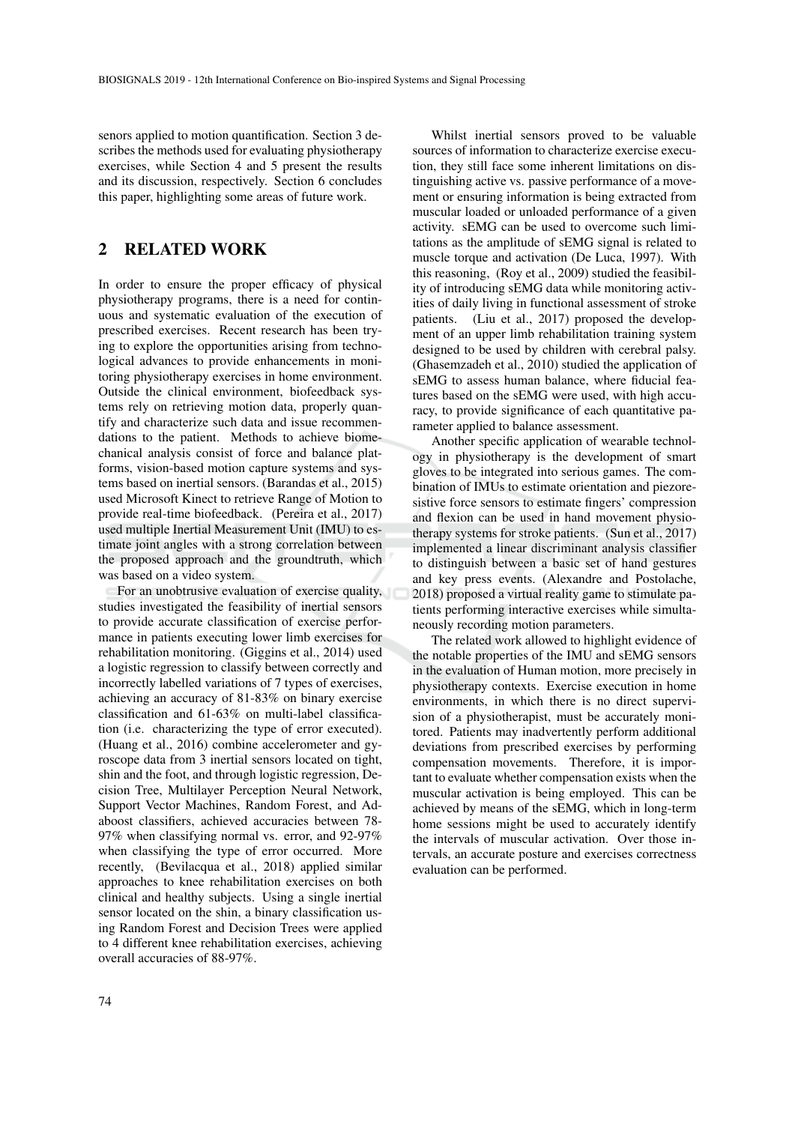senors applied to motion quantification. Section 3 describes the methods used for evaluating physiotherapy exercises, while Section 4 and 5 present the results and its discussion, respectively. Section 6 concludes this paper, highlighting some areas of future work.

## 2 RELATED WORK

In order to ensure the proper efficacy of physical physiotherapy programs, there is a need for continuous and systematic evaluation of the execution of prescribed exercises. Recent research has been trying to explore the opportunities arising from technological advances to provide enhancements in monitoring physiotherapy exercises in home environment. Outside the clinical environment, biofeedback systems rely on retrieving motion data, properly quantify and characterize such data and issue recommendations to the patient. Methods to achieve biomechanical analysis consist of force and balance platforms, vision-based motion capture systems and systems based on inertial sensors. (Barandas et al., 2015) used Microsoft Kinect to retrieve Range of Motion to provide real-time biofeedback. (Pereira et al., 2017) used multiple Inertial Measurement Unit (IMU) to estimate joint angles with a strong correlation between the proposed approach and the groundtruth, which was based on a video system.

For an unobtrusive evaluation of exercise quality, studies investigated the feasibility of inertial sensors to provide accurate classification of exercise performance in patients executing lower limb exercises for rehabilitation monitoring. (Giggins et al., 2014) used a logistic regression to classify between correctly and incorrectly labelled variations of 7 types of exercises, achieving an accuracy of 81-83% on binary exercise classification and 61-63% on multi-label classification (i.e. characterizing the type of error executed). (Huang et al., 2016) combine accelerometer and gyroscope data from 3 inertial sensors located on tight, shin and the foot, and through logistic regression, Decision Tree, Multilayer Perception Neural Network, Support Vector Machines, Random Forest, and Adaboost classifiers, achieved accuracies between 78- 97% when classifying normal vs. error, and 92-97% when classifying the type of error occurred. More recently, (Bevilacqua et al., 2018) applied similar approaches to knee rehabilitation exercises on both clinical and healthy subjects. Using a single inertial sensor located on the shin, a binary classification using Random Forest and Decision Trees were applied to 4 different knee rehabilitation exercises, achieving overall accuracies of 88-97%.

Whilst inertial sensors proved to be valuable sources of information to characterize exercise execution, they still face some inherent limitations on distinguishing active vs. passive performance of a movement or ensuring information is being extracted from muscular loaded or unloaded performance of a given activity. sEMG can be used to overcome such limitations as the amplitude of sEMG signal is related to muscle torque and activation (De Luca, 1997). With this reasoning, (Roy et al., 2009) studied the feasibility of introducing sEMG data while monitoring activities of daily living in functional assessment of stroke patients. (Liu et al., 2017) proposed the development of an upper limb rehabilitation training system designed to be used by children with cerebral palsy. (Ghasemzadeh et al., 2010) studied the application of sEMG to assess human balance, where fiducial features based on the sEMG were used, with high accuracy, to provide significance of each quantitative parameter applied to balance assessment.

Another specific application of wearable technology in physiotherapy is the development of smart gloves to be integrated into serious games. The combination of IMUs to estimate orientation and piezoresistive force sensors to estimate fingers' compression and flexion can be used in hand movement physiotherapy systems for stroke patients. (Sun et al., 2017) implemented a linear discriminant analysis classifier to distinguish between a basic set of hand gestures and key press events. (Alexandre and Postolache, 2018) proposed a virtual reality game to stimulate patients performing interactive exercises while simultaneously recording motion parameters.

The related work allowed to highlight evidence of the notable properties of the IMU and sEMG sensors in the evaluation of Human motion, more precisely in physiotherapy contexts. Exercise execution in home environments, in which there is no direct supervision of a physiotherapist, must be accurately monitored. Patients may inadvertently perform additional deviations from prescribed exercises by performing compensation movements. Therefore, it is important to evaluate whether compensation exists when the muscular activation is being employed. This can be achieved by means of the sEMG, which in long-term home sessions might be used to accurately identify the intervals of muscular activation. Over those intervals, an accurate posture and exercises correctness evaluation can be performed.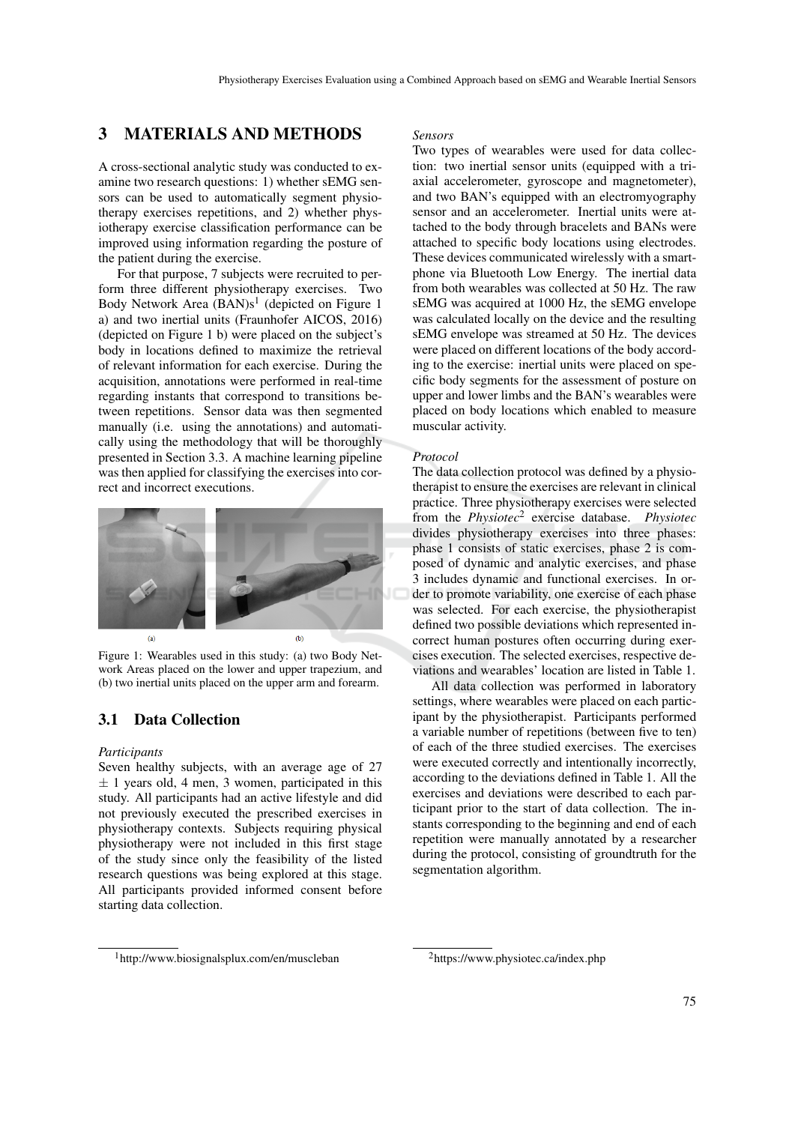## 3 MATERIALS AND METHODS

A cross-sectional analytic study was conducted to examine two research questions: 1) whether sEMG sensors can be used to automatically segment physiotherapy exercises repetitions, and 2) whether physiotherapy exercise classification performance can be improved using information regarding the posture of the patient during the exercise.

For that purpose, 7 subjects were recruited to perform three different physiotherapy exercises. Two Body Network Area  $(BAN)s<sup>1</sup>$  (depicted on Figure 1 a) and two inertial units (Fraunhofer AICOS, 2016) (depicted on Figure 1 b) were placed on the subject's body in locations defined to maximize the retrieval of relevant information for each exercise. During the acquisition, annotations were performed in real-time regarding instants that correspond to transitions between repetitions. Sensor data was then segmented manually (i.e. using the annotations) and automatically using the methodology that will be thoroughly presented in Section 3.3. A machine learning pipeline was then applied for classifying the exercises into correct and incorrect executions.



Figure 1: Wearables used in this study: (a) two Body Network Areas placed on the lower and upper trapezium, and (b) two inertial units placed on the upper arm and forearm.

### 3.1 Data Collection

#### *Participants*

Seven healthy subjects, with an average age of 27  $\pm$  1 years old, 4 men, 3 women, participated in this study. All participants had an active lifestyle and did not previously executed the prescribed exercises in physiotherapy contexts. Subjects requiring physical physiotherapy were not included in this first stage of the study since only the feasibility of the listed research questions was being explored at this stage. All participants provided informed consent before starting data collection.

#### *Sensors*

Two types of wearables were used for data collection: two inertial sensor units (equipped with a triaxial accelerometer, gyroscope and magnetometer), and two BAN's equipped with an electromyography sensor and an accelerometer. Inertial units were attached to the body through bracelets and BANs were attached to specific body locations using electrodes. These devices communicated wirelessly with a smartphone via Bluetooth Low Energy. The inertial data from both wearables was collected at 50 Hz. The raw sEMG was acquired at 1000 Hz, the sEMG envelope was calculated locally on the device and the resulting sEMG envelope was streamed at 50 Hz. The devices were placed on different locations of the body according to the exercise: inertial units were placed on specific body segments for the assessment of posture on upper and lower limbs and the BAN's wearables were placed on body locations which enabled to measure muscular activity.

#### *Protocol*

The data collection protocol was defined by a physiotherapist to ensure the exercises are relevant in clinical practice. Three physiotherapy exercises were selected from the *Physiotec*<sup>2</sup> exercise database. *Physiotec* divides physiotherapy exercises into three phases: phase 1 consists of static exercises, phase 2 is composed of dynamic and analytic exercises, and phase 3 includes dynamic and functional exercises. In order to promote variability, one exercise of each phase was selected. For each exercise, the physiotherapist defined two possible deviations which represented incorrect human postures often occurring during exercises execution. The selected exercises, respective deviations and wearables' location are listed in Table 1.

All data collection was performed in laboratory settings, where wearables were placed on each participant by the physiotherapist. Participants performed a variable number of repetitions (between five to ten) of each of the three studied exercises. The exercises were executed correctly and intentionally incorrectly, according to the deviations defined in Table 1. All the exercises and deviations were described to each participant prior to the start of data collection. The instants corresponding to the beginning and end of each repetition were manually annotated by a researcher during the protocol, consisting of groundtruth for the segmentation algorithm.

<sup>1</sup>http://www.biosignalsplux.com/en/muscleban

<sup>2</sup>https://www.physiotec.ca/index.php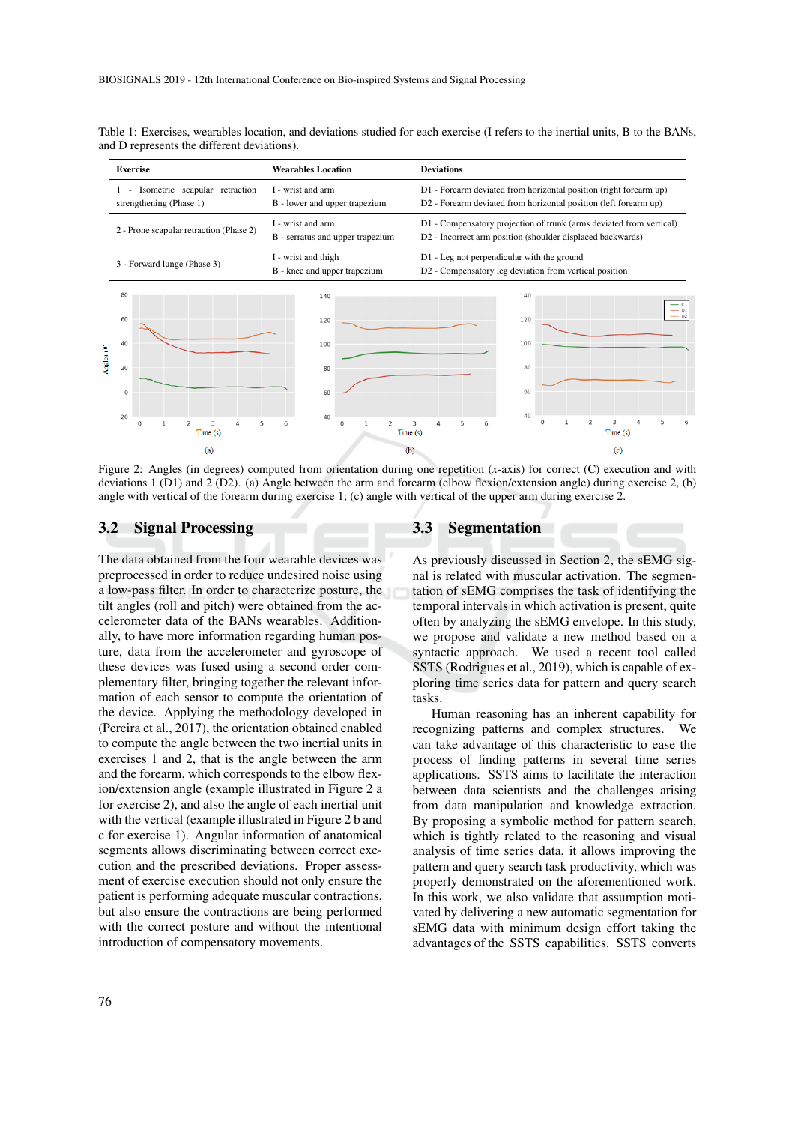|            | <b>Exercise</b>          |                                                          | <b>Wearables Location</b>                             | <b>Deviations</b>                                                                                                                     |  |  |  |  |
|------------|--------------------------|----------------------------------------------------------|-------------------------------------------------------|---------------------------------------------------------------------------------------------------------------------------------------|--|--|--|--|
|            | $\overline{\phantom{a}}$ | Isometric scapular retraction<br>strengthening (Phase 1) | I - wrist and arm<br>B - lower and upper trapezium    | D1 - Forearm deviated from horizontal position (right forearm up)<br>D2 - Forearm deviated from horizontal position (left forearm up) |  |  |  |  |
|            |                          | 2 - Prone scapular retraction (Phase 2)                  | I - wrist and arm<br>B - serratus and upper trapezium | D1 - Compensatory projection of trunk (arms deviated from vertical)<br>D2 - Incorrect arm position (shoulder displaced backwards)     |  |  |  |  |
|            |                          | 3 - Forward lunge (Phase 3)                              | I - wrist and thigh<br>B - knee and upper trapezium   | D1 - Leg not perpendicular with the ground<br>D2 - Compensatory leg deviation from vertical position                                  |  |  |  |  |
|            | 80<br>60                 |                                                          | 140<br>120                                            | 140<br>$- c$<br>$-01$<br>$- D2$<br>120                                                                                                |  |  |  |  |
| Angles (º) | 40                       |                                                          | 100                                                   | 100                                                                                                                                   |  |  |  |  |
|            | 20                       |                                                          | 80<br>60                                              | 80<br>60                                                                                                                              |  |  |  |  |
|            | $\mathsf 0$<br>$-20$     |                                                          | 40                                                    | 40                                                                                                                                    |  |  |  |  |
|            |                          | 3<br>5<br>4<br>$\mathbf{0}$<br>$\mathcal{P}$<br>Time(s)  | $\overline{c}$<br>6<br>$\Omega$<br>ı<br>Time(s)       | $\mathbf 0$<br>$\overline{2}$<br>$\mathbf{1}$<br>5<br>3<br>$\Delta$<br>6<br>Time(s)                                                   |  |  |  |  |
|            |                          | (a)                                                      | (b)                                                   | (c)                                                                                                                                   |  |  |  |  |

Table 1: Exercises, wearables location, and deviations studied for each exercise (I refers to the inertial units, B to the BANs, and D represents the different deviations).

Figure 2: Angles (in degrees) computed from orientation during one repetition (*x*-axis) for correct (C) execution and with deviations 1 (D1) and 2 (D2). (a) Angle between the arm and forearm (elbow flexion/extension angle) during exercise 2, (b) angle with vertical of the forearm during exercise 1; (c) angle with vertical of the upper arm during exercise 2.

#### 3.2 Signal Processing

The data obtained from the four wearable devices was preprocessed in order to reduce undesired noise using a low-pass filter. In order to characterize posture, the tilt angles (roll and pitch) were obtained from the accelerometer data of the BANs wearables. Additionally, to have more information regarding human posture, data from the accelerometer and gyroscope of these devices was fused using a second order complementary filter, bringing together the relevant information of each sensor to compute the orientation of the device. Applying the methodology developed in (Pereira et al., 2017), the orientation obtained enabled to compute the angle between the two inertial units in exercises 1 and 2, that is the angle between the arm and the forearm, which corresponds to the elbow flexion/extension angle (example illustrated in Figure 2 a for exercise 2), and also the angle of each inertial unit with the vertical (example illustrated in Figure 2 b and c for exercise 1). Angular information of anatomical segments allows discriminating between correct execution and the prescribed deviations. Proper assessment of exercise execution should not only ensure the patient is performing adequate muscular contractions, but also ensure the contractions are being performed with the correct posture and without the intentional introduction of compensatory movements.

#### 3.3 Segmentation

As previously discussed in Section 2, the sEMG signal is related with muscular activation. The segmentation of sEMG comprises the task of identifying the temporal intervals in which activation is present, quite often by analyzing the sEMG envelope. In this study, we propose and validate a new method based on a syntactic approach. We used a recent tool called SSTS (Rodrigues et al., 2019), which is capable of exploring time series data for pattern and query search tasks.

Human reasoning has an inherent capability for recognizing patterns and complex structures. We can take advantage of this characteristic to ease the process of finding patterns in several time series applications. SSTS aims to facilitate the interaction between data scientists and the challenges arising from data manipulation and knowledge extraction. By proposing a symbolic method for pattern search, which is tightly related to the reasoning and visual analysis of time series data, it allows improving the pattern and query search task productivity, which was properly demonstrated on the aforementioned work. In this work, we also validate that assumption motivated by delivering a new automatic segmentation for sEMG data with minimum design effort taking the advantages of the SSTS capabilities. SSTS converts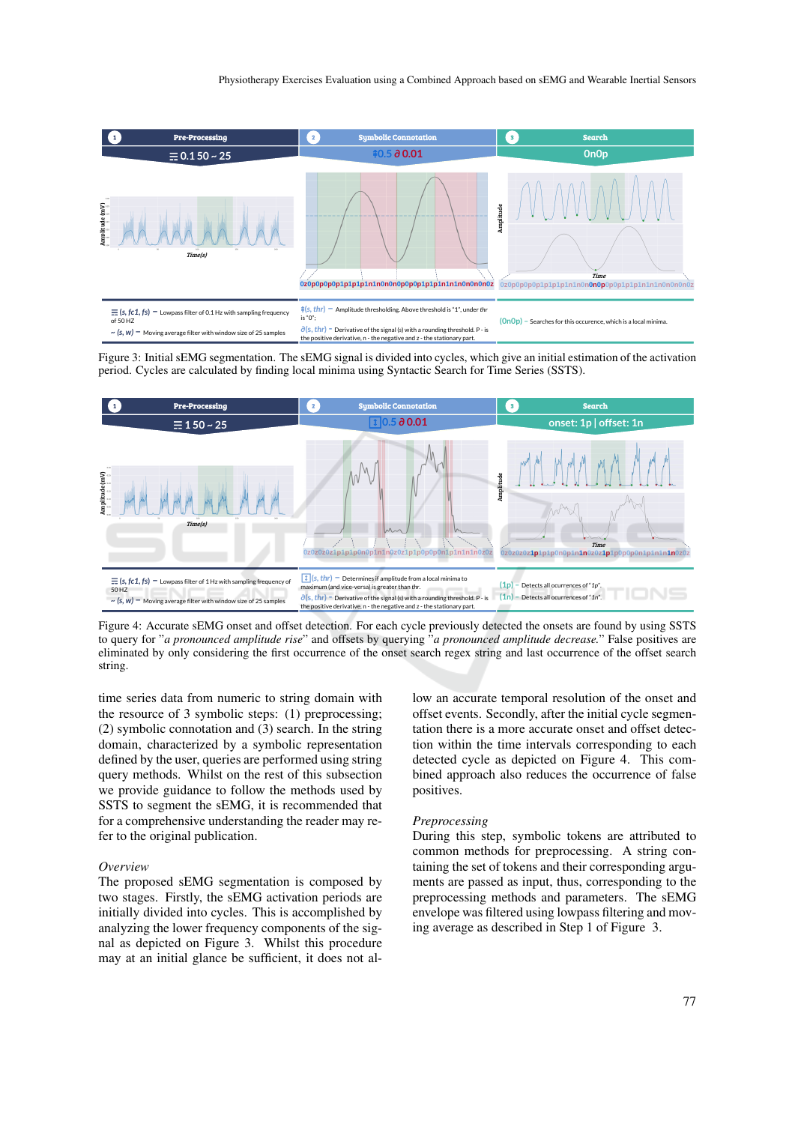

Figure 3: Initial sEMG segmentation. The sEMG signal is divided into cycles, which give an initial estimation of the activation period. Cycles are calculated by finding local minima using Syntactic Search for Time Series (SSTS).



Figure 4: Accurate sEMG onset and offset detection. For each cycle previously detected the onsets are found by using SSTS to query for "*a pronounced amplitude rise*" and offsets by querying "*a pronounced amplitude decrease.*" False positives are eliminated by only considering the first occurrence of the onset search regex string and last occurrence of the offset search string.

time series data from numeric to string domain with the resource of 3 symbolic steps: (1) preprocessing; (2) symbolic connotation and (3) search. In the string domain, characterized by a symbolic representation defined by the user, queries are performed using string query methods. Whilst on the rest of this subsection we provide guidance to follow the methods used by SSTS to segment the sEMG, it is recommended that for a comprehensive understanding the reader may refer to the original publication.

#### *Overview*

The proposed sEMG segmentation is composed by two stages. Firstly, the sEMG activation periods are initially divided into cycles. This is accomplished by analyzing the lower frequency components of the signal as depicted on Figure 3. Whilst this procedure may at an initial glance be sufficient, it does not allow an accurate temporal resolution of the onset and offset events. Secondly, after the initial cycle segmentation there is a more accurate onset and offset detection within the time intervals corresponding to each detected cycle as depicted on Figure 4. This combined approach also reduces the occurrence of false positives.

#### *Preprocessing*

During this step, symbolic tokens are attributed to common methods for preprocessing. A string containing the set of tokens and their corresponding arguments are passed as input, thus, corresponding to the preprocessing methods and parameters. The sEMG envelope was filtered using lowpass filtering and moving average as described in Step 1 of Figure 3.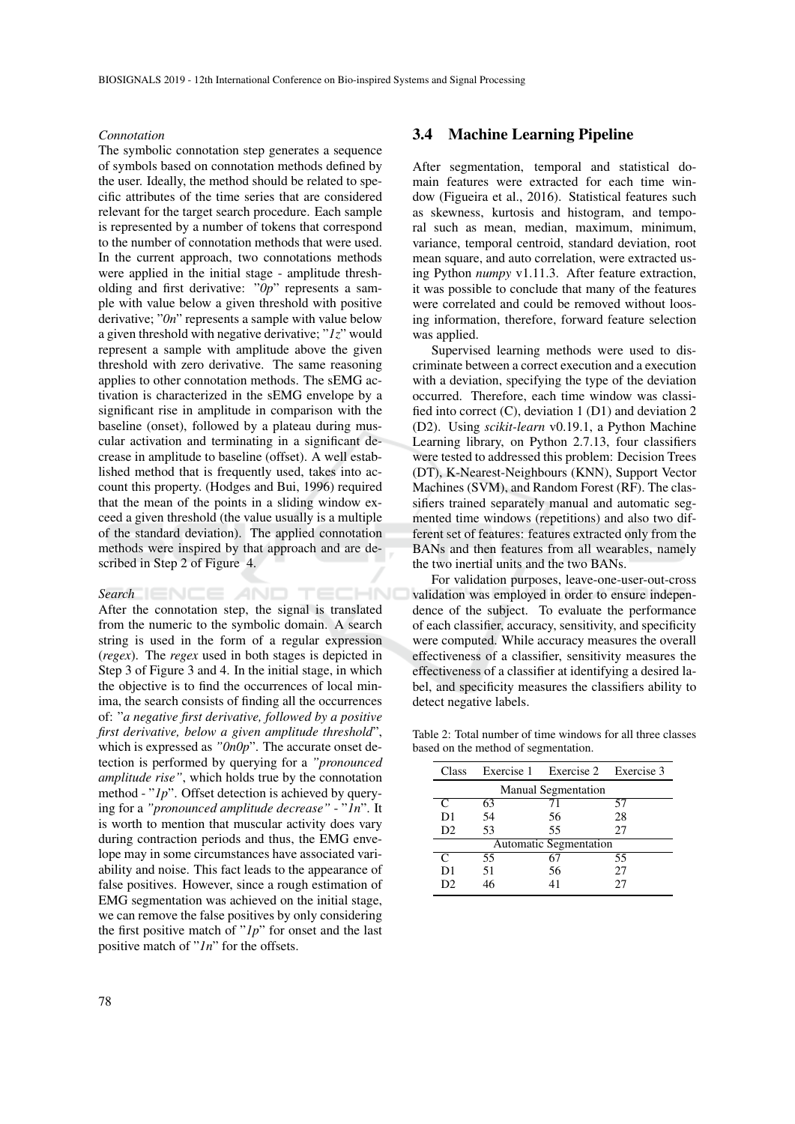#### *Connotation*

The symbolic connotation step generates a sequence of symbols based on connotation methods defined by the user. Ideally, the method should be related to specific attributes of the time series that are considered relevant for the target search procedure. Each sample is represented by a number of tokens that correspond to the number of connotation methods that were used. In the current approach, two connotations methods were applied in the initial stage - amplitude thresholding and first derivative: "*0p*" represents a sample with value below a given threshold with positive derivative; "*0n*" represents a sample with value below a given threshold with negative derivative; "*1z*" would represent a sample with amplitude above the given threshold with zero derivative. The same reasoning applies to other connotation methods. The sEMG activation is characterized in the sEMG envelope by a significant rise in amplitude in comparison with the baseline (onset), followed by a plateau during muscular activation and terminating in a significant decrease in amplitude to baseline (offset). A well established method that is frequently used, takes into account this property. (Hodges and Bui, 1996) required that the mean of the points in a sliding window exceed a given threshold (the value usually is a multiple of the standard deviation). The applied connotation methods were inspired by that approach and are described in Step 2 of Figure 4.

### **Search IENCE AND TECHNO**

After the connotation step, the signal is translated from the numeric to the symbolic domain. A search string is used in the form of a regular expression (*regex*). The *regex* used in both stages is depicted in Step 3 of Figure 3 and 4. In the initial stage, in which the objective is to find the occurrences of local minima, the search consists of finding all the occurrences of: "*a negative first derivative, followed by a positive first derivative, below a given amplitude threshold*", which is expressed as *"0n0p*". The accurate onset detection is performed by querying for a *"pronounced amplitude rise"*, which holds true by the connotation method - "*lp*". Offset detection is achieved by querying for a *"pronounced amplitude decrease"* - "*1n*". It is worth to mention that muscular activity does vary during contraction periods and thus, the EMG envelope may in some circumstances have associated variability and noise. This fact leads to the appearance of false positives. However, since a rough estimation of EMG segmentation was achieved on the initial stage, we can remove the false positives by only considering the first positive match of "*1p*" for onset and the last positive match of "*1n*" for the offsets.

### 3.4 Machine Learning Pipeline

After segmentation, temporal and statistical domain features were extracted for each time window (Figueira et al., 2016). Statistical features such as skewness, kurtosis and histogram, and temporal such as mean, median, maximum, minimum, variance, temporal centroid, standard deviation, root mean square, and auto correlation, were extracted using Python *numpy* v1.11.3. After feature extraction, it was possible to conclude that many of the features were correlated and could be removed without loosing information, therefore, forward feature selection was applied.

Supervised learning methods were used to discriminate between a correct execution and a execution with a deviation, specifying the type of the deviation occurred. Therefore, each time window was classified into correct (C), deviation 1 (D1) and deviation 2 (D2). Using *scikit-learn* v0.19.1, a Python Machine Learning library, on Python 2.7.13, four classifiers were tested to addressed this problem: Decision Trees (DT), K-Nearest-Neighbours (KNN), Support Vector Machines (SVM), and Random Forest (RF). The classifiers trained separately manual and automatic segmented time windows (repetitions) and also two different set of features: features extracted only from the BANs and then features from all wearables, namely the two inertial units and the two BANs.

For validation purposes, leave-one-user-out-cross validation was employed in order to ensure independence of the subject. To evaluate the performance of each classifier, accuracy, sensitivity, and specificity were computed. While accuracy measures the overall effectiveness of a classifier, sensitivity measures the effectiveness of a classifier at identifying a desired label, and specificity measures the classifiers ability to detect negative labels.

Table 2: Total number of time windows for all three classes based on the method of segmentation.

| Class                      |                               | Exercise 1 Exercise 2 Exercise 3 |    |  |  |  |  |  |  |
|----------------------------|-------------------------------|----------------------------------|----|--|--|--|--|--|--|
| <b>Manual Segmentation</b> |                               |                                  |    |  |  |  |  |  |  |
| C                          | 63                            | 71                               | 57 |  |  |  |  |  |  |
| D1                         | 54                            | 56                               | 28 |  |  |  |  |  |  |
| D <sub>2</sub>             | 53                            | 55                               | 27 |  |  |  |  |  |  |
|                            | <b>Automatic Segmentation</b> |                                  |    |  |  |  |  |  |  |
| C                          | 55                            | 67                               | 55 |  |  |  |  |  |  |
| D1                         | 51                            | 56                               | 27 |  |  |  |  |  |  |
| D2                         | 46                            | 41                               | 27 |  |  |  |  |  |  |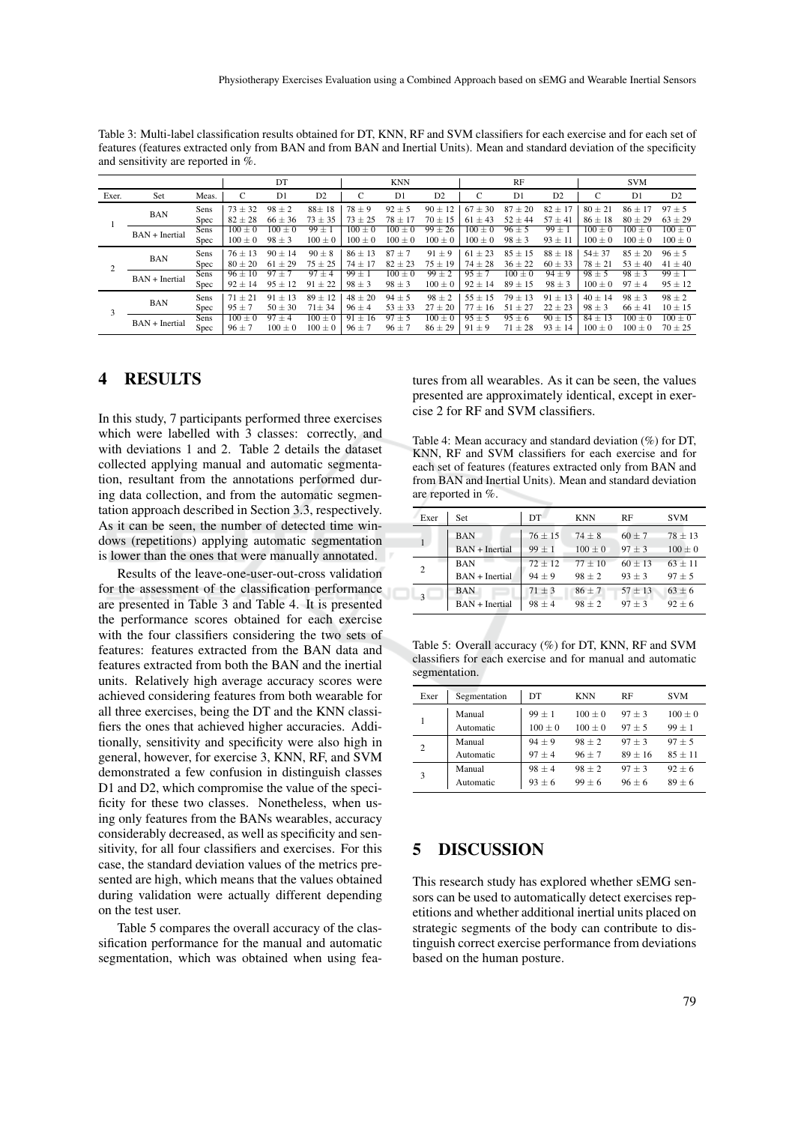Table 3: Multi-label classification results obtained for DT, KNN, RF and SVM classifiers for each exercise and for each set of features (features extracted only from BAN and from BAN and Inertial Units). Mean and standard deviation of the specificity and sensitivity are reported in %.

|       |                  |       |             | DT          |             |             | <b>KNN</b>             |             |             | RF                    |                |                      | <b>SVM</b>     |                |
|-------|------------------|-------|-------------|-------------|-------------|-------------|------------------------|-------------|-------------|-----------------------|----------------|----------------------|----------------|----------------|
| Exer. | Set              | Meas. |             | D1          | D2          | C           | D1                     | D2          | C           | D <sub>1</sub>        | D <sub>2</sub> | C                    | D1             | D <sub>2</sub> |
|       | <b>BAN</b>       | Sens  | $73 \pm 32$ | $98 \pm 2$  | $88 \pm 18$ | $78 \pm 9$  | $92 \pm 5$             | $90 \pm 12$ | $67 + 30$   | $87 \pm 20$           | 17<br>$82 +$   | $80 + 21$            | $86 + 17$      | $97 + 5$       |
|       |                  | Spec  | $82 \pm 28$ | $66 \pm 36$ | $73 \pm 35$ | $73 \pm 25$ | $78 \pm 17$            | $70 \pm 15$ | $61 \pm 43$ | $52 \pm 44$           | $57 \pm 41$    | $86 \pm 18$          | $80 \pm 29$    | $63 \pm 29$    |
|       | $BAN + Inertial$ | Sens  | $100 \pm 0$ | $100 \pm 0$ | $99 \pm 1$  | $100 \pm 0$ | $100 \pm 0$            | $99 \pm 26$ | $100 \pm 0$ | $\overline{96} \pm 5$ | $99 \pm 1$     | $100 \pm 0$          | 100<br>$\pm 0$ | $100 + 0$      |
|       |                  | Spec  | $100 \pm 0$ | $98 \pm 3$  | $100 \pm 0$ | $100 \pm 0$ | $100 \pm 0$            | $100 \pm 0$ | $100 \pm 0$ | $98 \pm 3$            | $93 \pm 11$    | $100 \pm 0$          | $100 \pm 0$    | $100 \pm 0$    |
|       | <b>BAN</b>       | Sens  | $76 + 13$   | $90 \pm 14$ | $90 \pm 8$  | $86 + 13$   | 87<br>$+7$             | $91 \pm 9$  | $61 \pm 23$ | $85 \pm 15$           | $88 \pm 18$    | $54 \pm 37$          | $85 + 20$      | $96 + 5$       |
|       |                  | Spec  | $80 \pm 20$ | $61 \pm 29$ | $75 \pm 25$ | $74 \pm 17$ | $82 \pm 23$            | $75 \pm 19$ | $74 \pm 28$ | $36 \pm 22$           | $60 \pm 33$    | $78 \pm 21$          | $53 \pm 40$    | $41 \pm 40$    |
|       | $BAN + Inertial$ | Sens  | $96 \pm 10$ | $97 \pm 7$  | $97 \pm 4$  | $99 \pm 1$  | $\overline{100} \pm 0$ | $99 \pm 2$  | $95 \pm 7$  | $100 \pm 0$           | $94 \pm 9$     | $\overline{98\pm 5}$ | $98 \pm 3$     | $99 \pm 1$     |
|       |                  | Spec  | $92 \pm 14$ | $95 \pm 12$ | $91 \pm 22$ | $98 \pm 3$  | $98 \pm 3$             | $100 \pm 0$ | $92 \pm 14$ | $89 \pm 15$           | $98 \pm 3$     | $100 \pm 0$          | $97 \pm 4$     | $95 \pm 12$    |
|       | <b>BAN</b>       | Sens  | $71 + 21$   | $91 + 13$   | $89 \pm 12$ | $48 + 20$   | $94 \pm 5$             | $98 + 2$    | $55 + 15$   | $79 \pm 13$           | $91 + 13$      | $40 + 14$            | $98 \pm 3$     | $98 + 2$       |
|       |                  | Spec  | $95 \pm 7$  | $50 \pm 30$ | $71 \pm 34$ | $96 \pm 4$  | $53 \pm 33$            | $27 \pm 20$ | $77 \pm 16$ | $51 \pm 27$           | $22 \pm 23$    | $98 \pm 3$           | $66 \pm 41$    | $10 \pm 15$    |
|       | $BAN + Inertial$ | Sens  | $100 \pm 0$ | $97 \pm 4$  | $100 \pm 0$ | $91 \pm 16$ | 97<br>± 5              | $100 \pm 0$ | $95 \pm 5$  | $95 \pm 6$            | $90 \pm$<br>15 | $84 +$<br>13         | 100<br>$+0$    | $100 + 0$      |
|       |                  | Spec  | $96 \pm 7$  | $100 \pm 0$ | $100 \pm 0$ | $96 \pm 7$  | $96 \pm 7$             | $86 \pm 29$ | $91 \pm 9$  | $71 \pm 28$           | $93 \pm 14$    | $100 \pm 0$          | $100 \pm 0$    | $70 \pm 25$    |

## 4 RESULTS

In this study, 7 participants performed three exercises which were labelled with 3 classes: correctly, and with deviations 1 and 2. Table 2 details the dataset collected applying manual and automatic segmentation, resultant from the annotations performed during data collection, and from the automatic segmentation approach described in Section 3.3, respectively. As it can be seen, the number of detected time windows (repetitions) applying automatic segmentation is lower than the ones that were manually annotated.

Results of the leave-one-user-out-cross validation for the assessment of the classification performance are presented in Table 3 and Table 4. It is presented the performance scores obtained for each exercise with the four classifiers considering the two sets of features: features extracted from the BAN data and features extracted from both the BAN and the inertial units. Relatively high average accuracy scores were achieved considering features from both wearable for all three exercises, being the DT and the KNN classifiers the ones that achieved higher accuracies. Additionally, sensitivity and specificity were also high in general, however, for exercise 3, KNN, RF, and SVM demonstrated a few confusion in distinguish classes D1 and D2, which compromise the value of the specificity for these two classes. Nonetheless, when using only features from the BANs wearables, accuracy considerably decreased, as well as specificity and sensitivity, for all four classifiers and exercises. For this case, the standard deviation values of the metrics presented are high, which means that the values obtained during validation were actually different depending on the test user.

Table 5 compares the overall accuracy of the classification performance for the manual and automatic segmentation, which was obtained when using features from all wearables. As it can be seen, the values presented are approximately identical, except in exercise 2 for RF and SVM classifiers.

Table 4: Mean accuracy and standard deviation (%) for DT, KNN, RF and SVM classifiers for each exercise and for each set of features (features extracted only from BAN and from BAN and Inertial Units). Mean and standard deviation are reported in %.

| Exer           | Set              | DT         | <b>KNN</b>  | RF         | <b>SVM</b>  |
|----------------|------------------|------------|-------------|------------|-------------|
|                | <b>BAN</b>       | $76 + 15$  | $74 + 8$    | $60 + 7$   | $78 \pm 13$ |
| $\mathbf{1}$   | $BAN + Inertial$ | $99 \pm 1$ | $100 \pm 0$ | $97 \pm 3$ | $100 \pm 0$ |
| $\overline{c}$ | <b>BAN</b>       | $72 + 12$  | $77 + 10$   | $60 + 13$  | $63 + 11$   |
|                | $BAN + Inertial$ | $94 + 9$   | $98 + 2$    | $93 \pm 3$ | $97 + 5$    |
| 3              | <b>BAN</b>       | $71 \pm 3$ | $86 + 7$    | $57 + 13$  | $63 + 6$    |
|                | $BAN + Inertial$ | $98 + 4$   | $98 + 2$    | $97 + 3$   | $92 + 6$    |

Table 5: Overall accuracy (%) for DT, KNN, RF and SVM classifiers for each exercise and for manual and automatic segmentation.

| Exer           | Segmentation | DT        | <b>KNN</b> | RF        | <b>SVM</b> |
|----------------|--------------|-----------|------------|-----------|------------|
|                | Manual       | $99 + 1$  | $100 + 0$  | $97 + 3$  | $100 + 0$  |
|                | Automatic    | $100 + 0$ | $100 + 0$  | $97 + 5$  | $99 + 1$   |
| $\overline{c}$ | Manual       | $94 + 9$  | $98 + 2$   | $97 + 3$  | $97 + 5$   |
|                | Automatic    | $97 + 4$  | $96 + 7$   | $89 + 16$ | $85 + 11$  |
| 3              | Manual       | $98 + 4$  | $98 + 2$   | $97 + 3$  | $92 + 6$   |
|                | Automatic    | $93 + 6$  | $99 + 6$   | $96 + 6$  | $89 + 6$   |

### 5 DISCUSSION

This research study has explored whether sEMG sensors can be used to automatically detect exercises repetitions and whether additional inertial units placed on strategic segments of the body can contribute to distinguish correct exercise performance from deviations based on the human posture.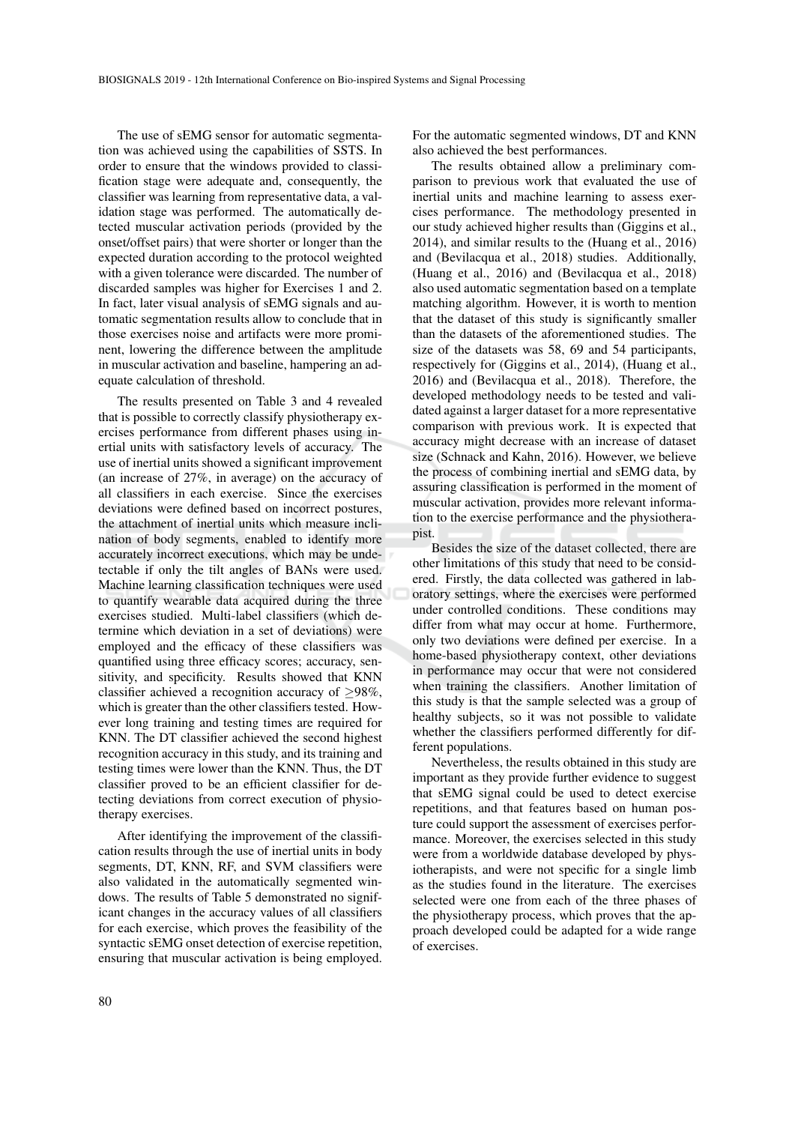The use of sEMG sensor for automatic segmentation was achieved using the capabilities of SSTS. In order to ensure that the windows provided to classification stage were adequate and, consequently, the classifier was learning from representative data, a validation stage was performed. The automatically detected muscular activation periods (provided by the onset/offset pairs) that were shorter or longer than the expected duration according to the protocol weighted with a given tolerance were discarded. The number of discarded samples was higher for Exercises 1 and 2. In fact, later visual analysis of sEMG signals and automatic segmentation results allow to conclude that in those exercises noise and artifacts were more prominent, lowering the difference between the amplitude in muscular activation and baseline, hampering an adequate calculation of threshold.

The results presented on Table 3 and 4 revealed that is possible to correctly classify physiotherapy exercises performance from different phases using inertial units with satisfactory levels of accuracy. The use of inertial units showed a significant improvement (an increase of 27%, in average) on the accuracy of all classifiers in each exercise. Since the exercises deviations were defined based on incorrect postures, the attachment of inertial units which measure inclination of body segments, enabled to identify more accurately incorrect executions, which may be undetectable if only the tilt angles of BANs were used. Machine learning classification techniques were used to quantify wearable data acquired during the three exercises studied. Multi-label classifiers (which determine which deviation in a set of deviations) were employed and the efficacy of these classifiers was quantified using three efficacy scores; accuracy, sensitivity, and specificity. Results showed that KNN classifier achieved a recognition accuracy of  $\geq$ 98%, which is greater than the other classifiers tested. However long training and testing times are required for KNN. The DT classifier achieved the second highest recognition accuracy in this study, and its training and testing times were lower than the KNN. Thus, the DT classifier proved to be an efficient classifier for detecting deviations from correct execution of physiotherapy exercises.

After identifying the improvement of the classification results through the use of inertial units in body segments, DT, KNN, RF, and SVM classifiers were also validated in the automatically segmented windows. The results of Table 5 demonstrated no significant changes in the accuracy values of all classifiers for each exercise, which proves the feasibility of the syntactic sEMG onset detection of exercise repetition, ensuring that muscular activation is being employed.

For the automatic segmented windows, DT and KNN also achieved the best performances.

The results obtained allow a preliminary comparison to previous work that evaluated the use of inertial units and machine learning to assess exercises performance. The methodology presented in our study achieved higher results than (Giggins et al., 2014), and similar results to the (Huang et al., 2016) and (Bevilacqua et al., 2018) studies. Additionally, (Huang et al., 2016) and (Bevilacqua et al., 2018) also used automatic segmentation based on a template matching algorithm. However, it is worth to mention that the dataset of this study is significantly smaller than the datasets of the aforementioned studies. The size of the datasets was 58, 69 and 54 participants, respectively for (Giggins et al., 2014), (Huang et al., 2016) and (Bevilacqua et al., 2018). Therefore, the developed methodology needs to be tested and validated against a larger dataset for a more representative comparison with previous work. It is expected that accuracy might decrease with an increase of dataset size (Schnack and Kahn, 2016). However, we believe the process of combining inertial and sEMG data, by assuring classification is performed in the moment of muscular activation, provides more relevant information to the exercise performance and the physiotherapist.

Besides the size of the dataset collected, there are other limitations of this study that need to be considered. Firstly, the data collected was gathered in laboratory settings, where the exercises were performed under controlled conditions. These conditions may differ from what may occur at home. Furthermore, only two deviations were defined per exercise. In a home-based physiotherapy context, other deviations in performance may occur that were not considered when training the classifiers. Another limitation of this study is that the sample selected was a group of healthy subjects, so it was not possible to validate whether the classifiers performed differently for different populations.

Nevertheless, the results obtained in this study are important as they provide further evidence to suggest that sEMG signal could be used to detect exercise repetitions, and that features based on human posture could support the assessment of exercises performance. Moreover, the exercises selected in this study were from a worldwide database developed by physiotherapists, and were not specific for a single limb as the studies found in the literature. The exercises selected were one from each of the three phases of the physiotherapy process, which proves that the approach developed could be adapted for a wide range of exercises.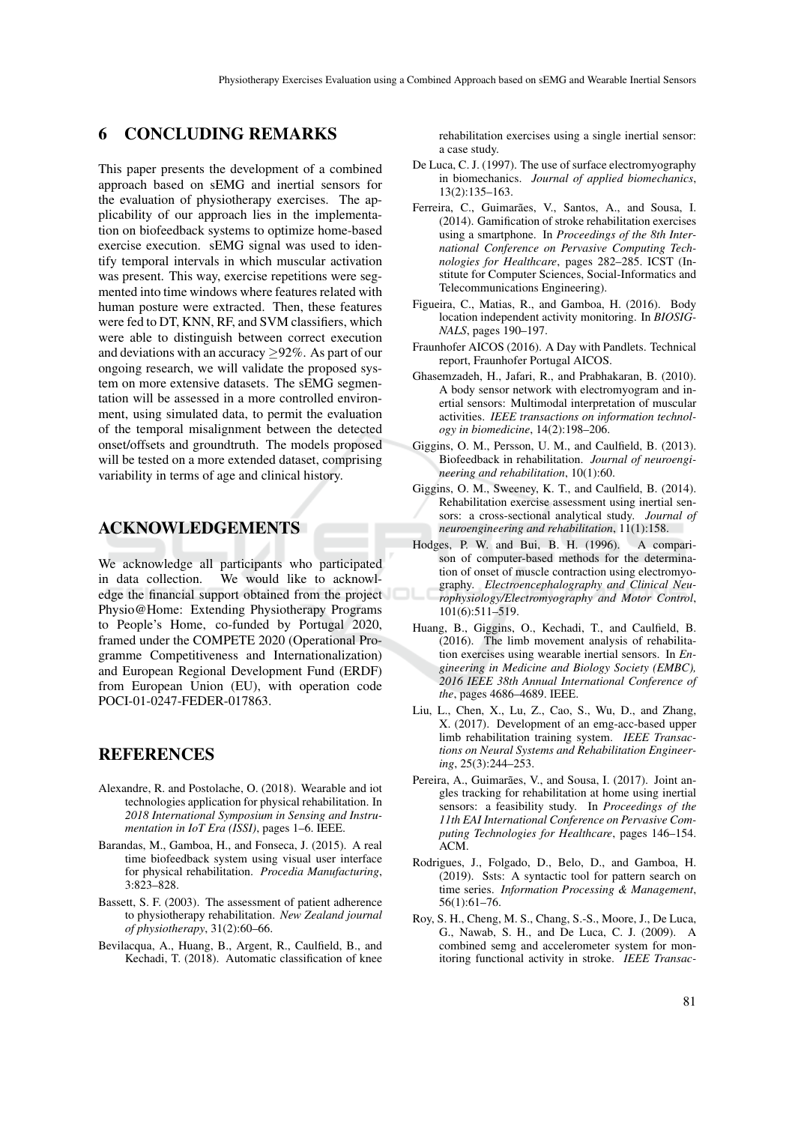### 6 CONCLUDING REMARKS

This paper presents the development of a combined approach based on sEMG and inertial sensors for the evaluation of physiotherapy exercises. The applicability of our approach lies in the implementation on biofeedback systems to optimize home-based exercise execution. sEMG signal was used to identify temporal intervals in which muscular activation was present. This way, exercise repetitions were segmented into time windows where features related with human posture were extracted. Then, these features were fed to DT, KNN, RF, and SVM classifiers, which were able to distinguish between correct execution and deviations with an accuracy  $\geq$ 92%. As part of our ongoing research, we will validate the proposed system on more extensive datasets. The sEMG segmentation will be assessed in a more controlled environment, using simulated data, to permit the evaluation of the temporal misalignment between the detected onset/offsets and groundtruth. The models proposed will be tested on a more extended dataset, comprising variability in terms of age and clinical history.

### ACKNOWLEDGEMENTS

We acknowledge all participants who participated in data collection. We would like to acknowledge the financial support obtained from the project Physio@Home: Extending Physiotherapy Programs to People's Home, co-funded by Portugal 2020, framed under the COMPETE 2020 (Operational Programme Competitiveness and Internationalization) and European Regional Development Fund (ERDF) from European Union (EU), with operation code POCI-01-0247-FEDER-017863.

## **REFERENCES**

- Alexandre, R. and Postolache, O. (2018). Wearable and iot technologies application for physical rehabilitation. In *2018 International Symposium in Sensing and Instrumentation in IoT Era (ISSI)*, pages 1–6. IEEE.
- Barandas, M., Gamboa, H., and Fonseca, J. (2015). A real time biofeedback system using visual user interface for physical rehabilitation. *Procedia Manufacturing*, 3:823–828.
- Bassett, S. F. (2003). The assessment of patient adherence to physiotherapy rehabilitation. *New Zealand journal of physiotherapy*, 31(2):60–66.
- Bevilacqua, A., Huang, B., Argent, R., Caulfield, B., and Kechadi, T. (2018). Automatic classification of knee

rehabilitation exercises using a single inertial sensor: a case study.

- De Luca, C. J. (1997). The use of surface electromyography in biomechanics. *Journal of applied biomechanics*, 13(2):135–163.
- Ferreira, C., Guimarães, V., Santos, A., and Sousa, I. (2014). Gamification of stroke rehabilitation exercises using a smartphone. In *Proceedings of the 8th International Conference on Pervasive Computing Technologies for Healthcare*, pages 282–285. ICST (Institute for Computer Sciences, Social-Informatics and Telecommunications Engineering).
- Figueira, C., Matias, R., and Gamboa, H. (2016). Body location independent activity monitoring. In *BIOSIG-NALS*, pages 190–197.
- Fraunhofer AICOS (2016). A Day with Pandlets. Technical report, Fraunhofer Portugal AICOS.
- Ghasemzadeh, H., Jafari, R., and Prabhakaran, B. (2010). A body sensor network with electromyogram and inertial sensors: Multimodal interpretation of muscular activities. *IEEE transactions on information technology in biomedicine*, 14(2):198–206.
- Giggins, O. M., Persson, U. M., and Caulfield, B. (2013). Biofeedback in rehabilitation. *Journal of neuroengineering and rehabilitation*, 10(1):60.
- Giggins, O. M., Sweeney, K. T., and Caulfield, B. (2014). Rehabilitation exercise assessment using inertial sensors: a cross-sectional analytical study. *Journal of neuroengineering and rehabilitation*, 11(1):158.
- Hodges, P. W. and Bui, B. H. (1996). A comparison of computer-based methods for the determination of onset of muscle contraction using electromyography. *Electroencephalography and Clinical Neurophysiology/Electromyography and Motor Control*, 101(6):511–519.
- Huang, B., Giggins, O., Kechadi, T., and Caulfield, B. (2016). The limb movement analysis of rehabilitation exercises using wearable inertial sensors. In *Engineering in Medicine and Biology Society (EMBC), 2016 IEEE 38th Annual International Conference of the*, pages 4686–4689. IEEE.
- Liu, L., Chen, X., Lu, Z., Cao, S., Wu, D., and Zhang, X. (2017). Development of an emg-acc-based upper limb rehabilitation training system. *IEEE Transactions on Neural Systems and Rehabilitation Engineering*, 25(3):244–253.
- Pereira, A., Guimarães, V., and Sousa, I. (2017). Joint angles tracking for rehabilitation at home using inertial sensors: a feasibility study. In *Proceedings of the 11th EAI International Conference on Pervasive Computing Technologies for Healthcare*, pages 146–154. ACM.
- Rodrigues, J., Folgado, D., Belo, D., and Gamboa, H. (2019). Ssts: A syntactic tool for pattern search on time series. *Information Processing & Management*, 56(1):61–76.
- Roy, S. H., Cheng, M. S., Chang, S.-S., Moore, J., De Luca, G., Nawab, S. H., and De Luca, C. J. (2009). A combined semg and accelerometer system for monitoring functional activity in stroke. *IEEE Transac-*